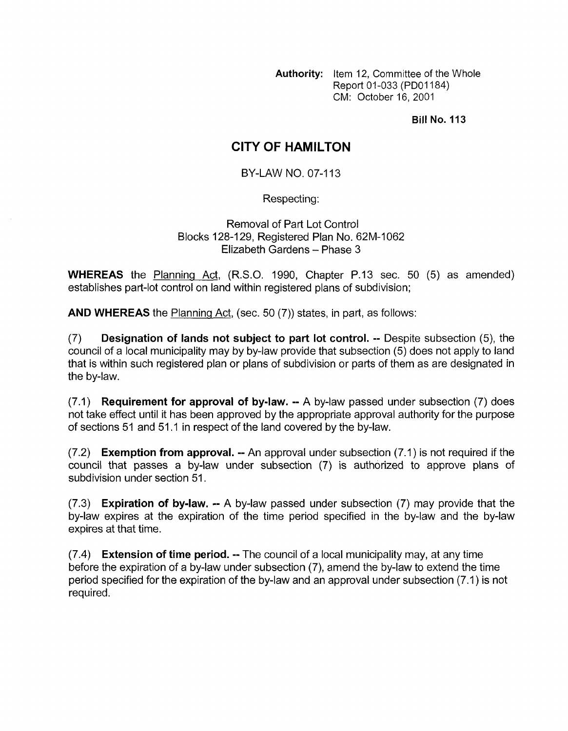**Authority:** Item 12, Committee of the Whole Report 01-033 (PDOI 184) CM: October 16, 2001

**Bill No. 113** 

## **CITY OF HAMILTON**

BY-LAW **NO.** 07-1 13

Respecting:

Removal of Part Lot Control Blocks 128-129, Registered Plan No. 62M-1062 Elizabeth Gardens - Phase 3

**WHEREAS** the Planninq Act, (R.S.O. 1990, Chapter P.13 sec. 50 (5) as amended) establishes part-lot control on land within registered plans of subdivision;

**AND WHEREAS** the Planning Act, (sec. 50 (7)) states, in part, as follows:

(7) **Designation of lands not subject to part lot control.** -- Despite subsection *(5),* the council of a local municipality may by by-law provide that subsection (5) does not apply to land that is within such registered plan or plans of subdivision or parts of them as are designated in the by-law.

(7.1) **Requirement for approval of by-law.** -- A by-law passed under subsection (7) does not take effect until it has been approved by the appropriate approval authority for the purpose of sections 51 and 51 .I in respect of the land covered by the by-law.

(7.2) **Exemption from approval.** -- An approval under subsection (7.1) is not required if the council that passes a by-law under subsection (7) is authorized to approve plans of subdivision under section 51.

(7.3) **Expiration of by-law.** -- A by-law passed under subsection (7) may provide that the by-law expires at the expiration of the time period specified in the by-law and the by-law expires at that time.

(7.4) **Extension of time period.** -- The council of a local municipality may, at any time before the expiration of a by-law under subsection (7), amend the by-law to extend the time period specified for the expiration of the by-law and an approval under subsection (7.1) is not required.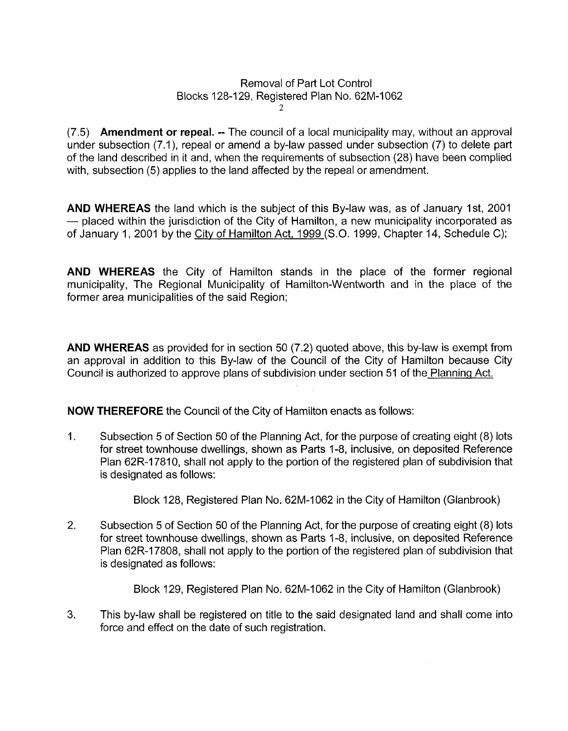## Removal of Part Lot Control Blocks 128-129, Registered Plan No. 62M-1062 2

*(7.5)* **Amendment or repeal.** -- The council of a local municipality may, without an approval under subsection (7.1), repeal or amend a by-law passed under subsection (7) to delete part of the land described in it and, when the requirements of subsection (28) have been complied with, subsection (5) applies to the land affected by the repeal or amendment.

**AND WHEREAS** the land which is the subject of this By-law was, as of January Ist, 2001  $-$  placed within the jurisdiction of the City of Hamilton, a new municipality incorporated as of January 1, 2001 by the City of Hamilton Act, 1999 (S.O. 1999, Chapter 14, Schedule C);

**AND WHEREAS** the City of Hamilton stands in the place of the former regional municipality, The Regional Municipality of Hamilton-Wentworth and in the place of the former area municipalities of the said Region;

**AND WHEREAS** as provided for in section 50 (7.2) quoted above, this by-law is exempt from an approval in addition to this By-law of the Council of the City of Hamilton because City Council is authorized to approve plans of subdivision under section 51 *of* the Planning Act.

**NOW THEREFORE** the Council of the City of Hamilton enacts as follows:

1. Subsection 5 of Section 50 of the Planning Act, for the purpose of creating eight (8) lots for street townhouse dwellings, shown as Parts 1-8, inclusive, on deposited Reference Plan 62R-17810, shall not apply to the portion of the registered plan of subdivision that is designated as follows:

Block 128, Registered Plan No. 62M-1062 in the City of Hamilton (Glanbrook)

2. Subsection 5 of Section 50 of the Planning Act, for the purpose of creating eight (8) lots for street townhouse dwellings, shown as Parts 1-8, inclusive, on deposited Reference Plan 62R-17808, shall not apply to the portion of the registered plan of subdivision that is designated as follows:

Block 129, Registered Plan No. 62M-1062 in the City of Hamilton (Glanbrook)

**3.**  This by-law shall be registered on title to the said designated land and shall come into force and effect on the date of such registration.